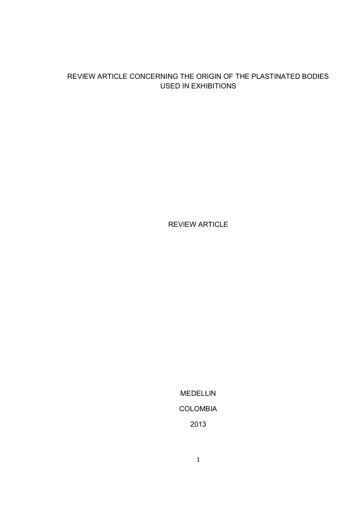# REVIEW ARTICLE CONCERNING THE ORIGIN OF THE PLASTINATED BODIES USED IN EXHIBITIONS

REVIEW ARTICLE

MEDELLIN COLOMBIA 2013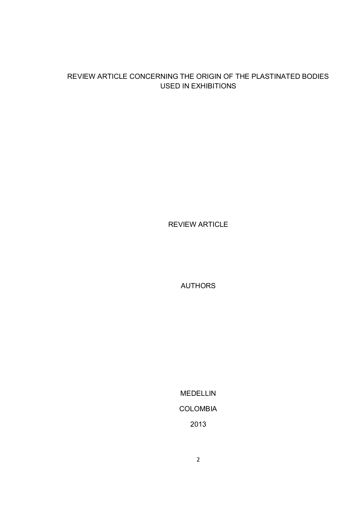# REVIEW ARTICLE CONCERNING THE ORIGIN OF THE PLASTINATED BODIES USED IN EXHIBITIONS

REVIEW ARTICLE

AUTHORS

MEDELLIN COLOMBIA 2013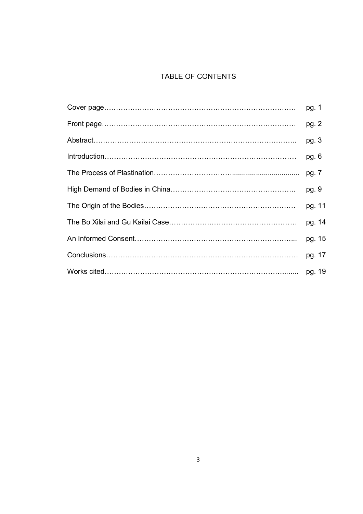# TABLE OF CONTENTS

| pg. 1   |
|---------|
| pg. 2   |
| pg. $3$ |
| pg. $6$ |
|         |
| pg. 9   |
| pg. 11  |
| pg. 14  |
| pg. 15  |
| pg. 17  |
|         |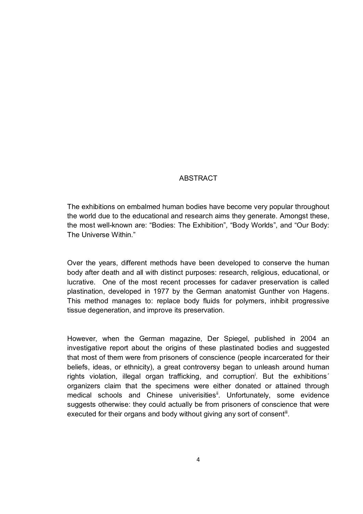### ABSTRACT

The exhibitions on embalmed human bodies have become very popular throughout the world due to the educational and research aims they generate. Amongst these, the most well-known are: "Bodies: The Exhibition", "Body Worlds", and "Our Body: The Universe Within."

Over the years, different methods have been developed to conserve the human body after death and all with distinct purposes: research, religious, educational, or lucrative. One of the most recent processes for cadaver preservation is called plastination, developed in 1977 by the German anatomist Gunther von Hagens. This method manages to: replace body fluids for polymers, inhibit progressive tissue degeneration, and improve its preservation.

However, when the German magazine, Der Spiegel, published in 2004 an investigative report about the origins of these plastinated bodies and suggested that most of them were from prisoners of conscience (people incarcerated for their beliefs, ideas, or ethnicity), a great controversy began to unleash around human rights violation, illegal organ trafficking, and corruption<sup>i</sup>. But the exhibitions' organizers claim that the specimens were either donated or attained through medical schools and Chinese univerisities<sup>ii</sup>. Unfortunately, some evidence suggests otherwise: they could actually be from prisoners of conscience that were executed for their organs and body without giving any sort of consent<sup>iii</sup>.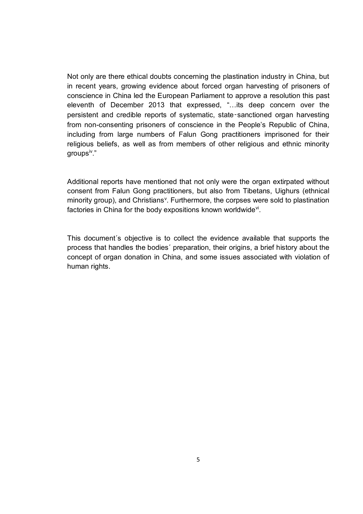Not only are there ethical doubts concerning the plastination industry in China, but in recent years, growing evidence about forced organ harvesting of prisoners of conscience in China led the European Parliament to approve a resolution this past eleventh of December 2013 that expressed, "…its deep concern over the persistent and credible reports of systematic, state‑sanctioned organ harvesting from non-consenting prisoners of conscience in the People's Republic of China, including from large numbers of Falun Gong practitioners imprisoned for their religious beliefs, as well as from members of other religious and ethnic minority aroups<sup>iv</sup>."

Additional reports have mentioned that not only were the organ extirpated without consent from Falun Gong practitioners, but also from Tibetans, Uighurs (ethnical minority group), and Christians<sup>v</sup>. Furthermore, the corpses were sold to plastination factories in China for the body expositions known worldwide<sup>vi</sup>.

This document´s objective is to collect the evidence available that supports the process that handles the bodies´ preparation, their origins, a brief history about the concept of organ donation in China, and some issues associated with violation of human rights.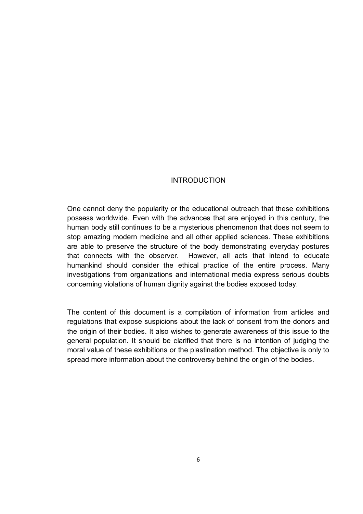#### INTRODUCTION

One cannot deny the popularity or the educational outreach that these exhibitions possess worldwide. Even with the advances that are enjoyed in this century, the human body still continues to be a mysterious phenomenon that does not seem to stop amazing modern medicine and all other applied sciences. These exhibitions are able to preserve the structure of the body demonstrating everyday postures that connects with the observer. However, all acts that intend to educate humankind should consider the ethical practice of the entire process. Many investigations from organizations and international media express serious doubts concerning violations of human dignity against the bodies exposed today.

The content of this document is a compilation of information from articles and regulations that expose suspicions about the lack of consent from the donors and the origin of their bodies. It also wishes to generate awareness of this issue to the general population. It should be clarified that there is no intention of judging the moral value of these exhibitions or the plastination method. The objective is only to spread more information about the controversy behind the origin of the bodies.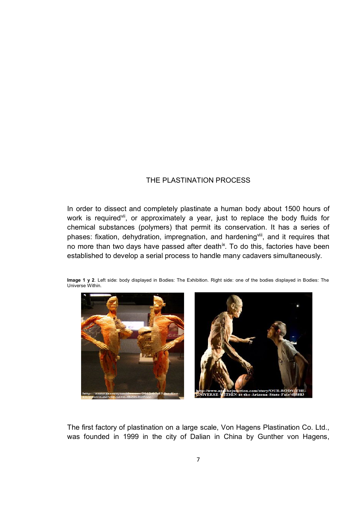### THE PLASTINATION PROCESS

In order to dissect and completely plastinate a human body about 1500 hours of work is required<sup>vii</sup>, or approximately a year, just to replace the body fluids for chemical substances (polymers) that permit its conservation. It has a series of phases: fixation, dehydration, impregnation, and hardening<sup>viii</sup>, and it requires that no more than two days have passed after death<sup>ix</sup>. To do this, factories have been established to develop a serial process to handle many cadavers simultaneously.





The first factory of plastination on a large scale, Von Hagens Plastination Co. Ltd., was founded in 1999 in the city of Dalian in China by Gunther von Hagens,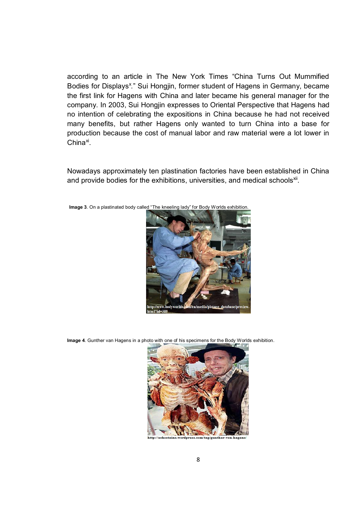according to an article in The New York Times "China Turns Out Mummified Bodies for Displays<sup>x</sup>." Sui Hongjin, former student of Hagens in Germany, became the first link for Hagens with China and later became his general manager for the company. In 2003, Sui Hongjin expresses to Oriental Perspective that Hagens had no intention of celebrating the expositions in China because he had not received many benefits, but rather Hagens only wanted to turn China into a base for production because the cost of manual labor and raw material were a lot lower in China<sup>xi</sup>.

Nowadays approximately ten plastination factories have been established in China and provide bodies for the exhibitions, universities, and medical schools<sup>xii</sup>.

**Image 3**. On a plastinated body called "The kneeling lady" for Body Worlds exhibition.



**Image 4**. Gunther van Hagens in a photo with one of his specimens for the Body Worlds exhibition.

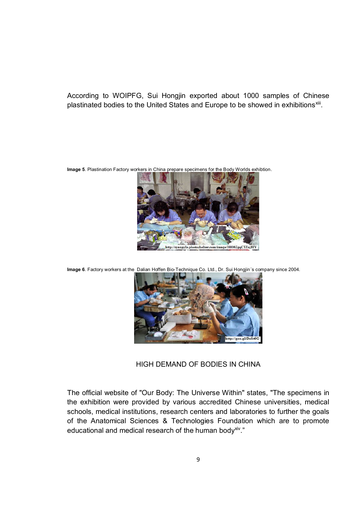According to WOIPFG, Sui Hongjin exported about 1000 samples of Chinese plastinated bodies to the United States and Europe to be showed in exhibitions<sup>xiii</sup>.

**Image 5**. Plastination Factory workers in China prepare specimens for the Body Worlds exhibtion.



**Image 6**. Factory workers at the Dalian Hoffen Bio-Technique Co. Ltd., Dr. Sui Hongjin´s company since 2004.



HIGH DEMAND OF BODIES IN CHINA

The official website of "Our Body: The Universe Within" states, "The specimens in the exhibition were provided by various accredited Chinese universities, medical schools, medical institutions, research centers and laboratories to further the goals of the Anatomical Sciences & Technologies Foundation which are to promote educational and medical research of the human body<sup>xiv</sup>."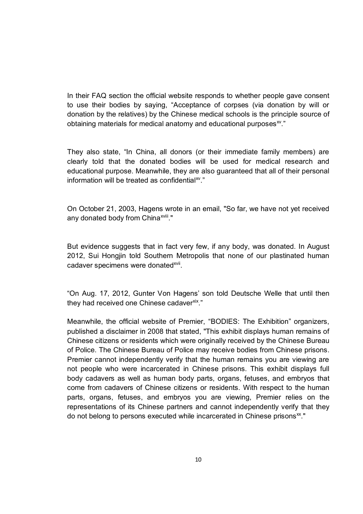In their FAQ section the official website responds to whether people gave consent to use their bodies by saying, "Acceptance of corpses (via donation by will or donation by the relatives) by the Chinese medical schools is the principle source of obtaining materials for medical anatomy and educational purposes $w$ ."

They also state, "In China, all donors (or their immediate family members) are clearly told that the donated bodies will be used for medical research and educational purpose. Meanwhile, they are also guaranteed that all of their personal information will be treated as confidential $x^2$ ."

On October 21, 2003, Hagens wrote in an email, "So far, we have not yet received any donated body from China<sup>xviii</sup>."

But evidence suggests that in fact very few, if any body, was donated. In August 2012, Sui Hongjin told Southern Metropolis that none of our plastinated human cadaver specimens were donated<sup>xvii</sup>.

"On Aug. 17, 2012, Gunter Von Hagens' son told Deutsche Welle that until then they had received one Chinese cadaverxix."

Meanwhile, the official website of Premier, "BODIES: The Exhibition" organizers, published a disclaimer in 2008 that stated, "This exhibit displays human remains of Chinese citizens or residents which were originally received by the Chinese Bureau of Police. The Chinese Bureau of Police may receive bodies from Chinese prisons. Premier cannot independently verify that the human remains you are viewing are not people who were incarcerated in Chinese prisons. This exhibit displays full body cadavers as well as human body parts, organs, fetuses, and embryos that come from cadavers of Chinese citizens or residents. With respect to the human parts, organs, fetuses, and embryos you are viewing, Premier relies on the representations of its Chinese partners and cannot independently verify that they do not belong to persons executed while incarcerated in Chinese prisons<sup>xx</sup>."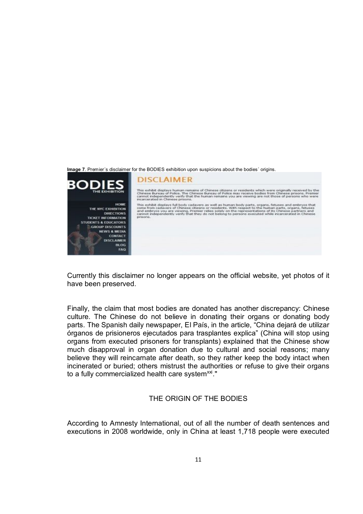

Currently this disclaimer no longer appears on the official website, yet photos of it have been preserved.

Finally, the claim that most bodies are donated has another discrepancy: Chinese culture. The Chinese do not believe in donating their organs or donating body parts. The Spanish daily newspaper, El País, in the article, "China dejará de utilizar órganos de prisioneros ejecutados para trasplantes explica" (China will stop using organs from executed prisoners for transplants) explained that the Chinese show much disapproval in organ donation due to cultural and social reasons; many believe they will reincarnate after death, so they rather keep the body intact when incinerated or buried; others mistrust the authorities or refuse to give their organs to a fully commercialized health care system $^{\mathsf{x}\mathsf{xi}}$ ."

### THE ORIGIN OF THE BODIES

According to Amnesty International, out of all the number of death sentences and executions in 2008 worldwide, only in China at least 1,718 people were executed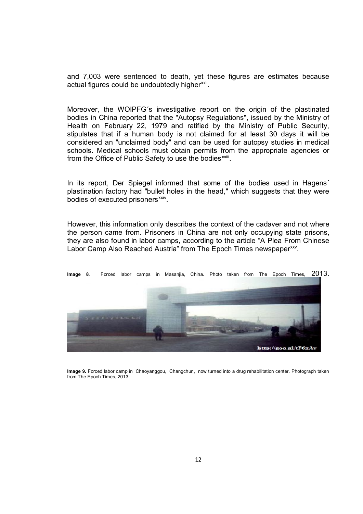and 7,003 were sentenced to death, yet these figures are estimates because actual figures could be undoubtedly higher<sup>xxii</sup>.

Moreover, the WOIPFG´s investigative report on the origin of the plastinated bodies in China reported that the "Autopsy Regulations", issued by the Ministry of Health on February 22, 1979 and ratified by the Ministry of Public Security, stipulates that if a human body is not claimed for at least 30 days it will be considered an "unclaimed body" and can be used for autopsy studies in medical schools. Medical schools must obtain permits from the appropriate agencies or from the Office of Public Safety to use the bodies<sup>xxiii</sup>.

In its report, Der Spiegel informed that some of the bodies used in Hagens' plastination factory had "bullet holes in the head," which suggests that they were bodies of executed prisoners<sup>xxiv</sup>.

However, this information only describes the context of the cadaver and not where the person came from. Prisoners in China are not only occupying state prisons, they are also found in labor camps, according to the article "A Plea From Chinese Labor Camp Also Reached Austria" from The Epoch Times newspaper<sup>xxv</sup>.



**Image 9.** Forced labor camp in Chaoyanggou, Changchun, now turned into a drug rehabilitation center. Photograph taken from The Epoch Times, 2013.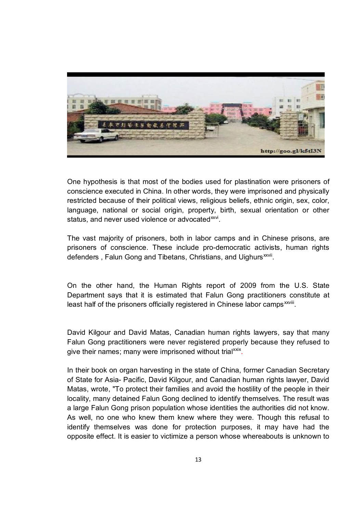

One hypothesis is that most of the bodies used for plastination were prisoners of conscience executed in China. In other words, they were imprisoned and physically restricted because of their political views, religious beliefs, ethnic origin, sex, color, language, national or social origin, property, birth, sexual orientation or other status, and never used violence or advocated<sup>xxvi</sup>.

The vast majority of prisoners, both in labor camps and in Chinese prisons, are prisoners of conscience. These include pro-democratic activists, human rights defenders , Falun Gong and Tibetans, Christians, and Uighurs<sup>xxvii</sup>.

On the other hand, the Human Rights report of 2009 from the U.S. State Department says that it is estimated that Falun Gong practitioners constitute at least half of the prisoners officially registered in Chinese labor camps<sup>xxviii</sup>.

David Kilgour and David Matas, Canadian human rights lawyers, say that many Falun Gong practitioners were never registered properly because they refused to give their names; many were imprisoned without trial<sup>xxix</sup>.

In their book on organ harvesting in the state of China, former Canadian Secretary of State for Asia- Pacific, David Kilgour, and Canadian human rights lawyer, David Matas, wrote, "To protect their families and avoid the hostility of the people in their locality, many detained Falun Gong declined to identify themselves. The result was a large Falun Gong prison population whose identities the authorities did not know. As well, no one who knew them knew where they were. Though this refusal to identify themselves was done for protection purposes, it may have had the opposite effect. It is easier to victimize a person whose whereabouts is unknown to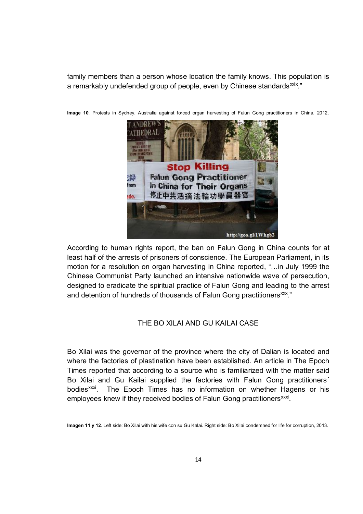family members than a person whose location the family knows. This population is a remarkably undefended group of people, even by Chinese standards<sup>xxix</sup>."



**Image 10**. Protests in Sydney, Australia against forced organ harvesting of Falun Gong practitioners in China, 2012.

According to human rights report, the ban on Falun Gong in China counts for at least half of the arrests of prisoners of conscience. The European Parliament, in its motion for a resolution on organ harvesting in China reported, "…in July 1999 the Chinese Communist Party launched an intensive nationwide wave of persecution, designed to eradicate the spiritual practice of Falun Gong and leading to the arrest and detention of hundreds of thousands of Falun Gong practitioners<sup>xxx</sup>."

#### THE BO XILAI AND GU KAILAI CASE

Bo Xilai was the governor of the province where the city of Dalian is located and where the factories of plastination have been established. An article in The Epoch Times reported that according to a source who is familiarized with the matter said Bo Xilai and Gu Kailai supplied the factories with Falun Gong practitioners´ bodies<sup>xxxi</sup>. . The Epoch Times has no information on whether Hagens or his employees knew if they received bodies of Falun Gong practitioners<sup>xxxi</sup>.

**Imagen 11 y 12**. Left side: Bo Xilai with his wife con su Gu Kalai. Right side: Bo Xilai condemned for life for corruption, 2013.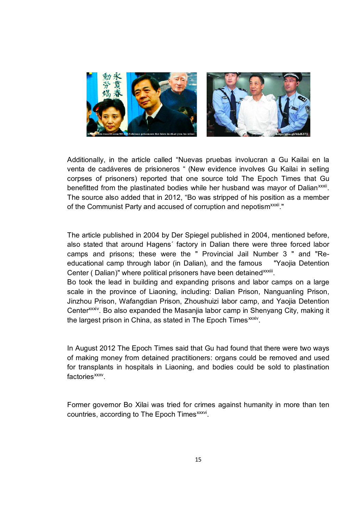

Additionally, in the article called "Nuevas pruebas involucran a Gu Kailai en la venta de cadáveres de prisioneros " (New evidence involves Gu Kailai in selling corpses of prisoners) reported that one source told The Epoch Times that Gu benefitted from the plastinated bodies while her husband was mayor of Dalian<sup>xxxii</sup>. The source also added that in 2012, "Bo was stripped of his position as a member of the Communist Party and accused of corruption and nepotism<sup>xxxii</sup>."

The article published in 2004 by Der Spiegel published in 2004, mentioned before, also stated that around Hagens´ factory in Dalian there were three forced labor camps and prisons; these were the " Provincial Jail Number 3 " and "Reeducational camp through labor (in Dalian), and the famous "Yaojia Detention Center (Dalian)" where political prisoners have been detained xxxiii.

Bo took the lead in building and expanding prisons and labor camps on a large scale in the province of Liaoning, including: Dalian Prison, Nanguanling Prison, Jinzhou Prison, Wafangdian Prison, Zhoushuizi labor camp, and Yaojia Detention Center<sup>xxxiv</sup>. Bo also expanded the Masanija labor camp in Shenyang City, making it the largest prison in China, as stated in The Epoch Times<sup>xxxiv</sup>.

In August 2012 The Epoch Times said that Gu had found that there were two ways of making money from detained practitioners: organs could be removed and used for transplants in hospitals in Liaoning, and bodies could be sold to plastination factories<sup>xxxv</sup>.

Former governor Bo Xilai was tried for crimes against humanity in more than ten countries, according to The Epoch Times<sup>xxxvi</sup>.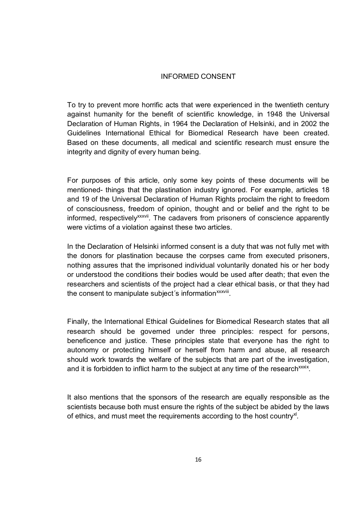#### INFORMED CONSENT

To try to prevent more horrific acts that were experienced in the twentieth century against humanity for the benefit of scientific knowledge, in 1948 the Universal Declaration of Human Rights, in 1964 the Declaration of Helsinki, and in 2002 the Guidelines International Ethical for Biomedical Research have been created. Based on these documents, all medical and scientific research must ensure the integrity and dignity of every human being.

For purposes of this article, only some key points of these documents will be mentioned- things that the plastination industry ignored. For example, articles 18 and 19 of the Universal Declaration of Human Rights proclaim the right to freedom of consciousness, freedom of opinion, thought and or belief and the right to be informed, respectively<sup>xxxvii</sup>. The cadavers from prisoners of conscience apparently were victims of a violation against these two articles.

In the Declaration of Helsinki informed consent is a duty that was not fully met with the donors for plastination because the corpses came from executed prisoners, nothing assures that the imprisoned individual voluntarily donated his or her body or understood the conditions their bodies would be used after death; that even the researchers and scientists of the project had a clear ethical basis, or that they had the consent to manipulate subject's information<sup>xxxviii</sup>.

Finally, the International Ethical Guidelines for Biomedical Research states that all research should be governed under three principles: respect for persons, beneficence and justice. These principles state that everyone has the right to autonomy or protecting himself or herself from harm and abuse, all research should work towards the welfare of the subjects that are part of the investigation, and it is forbidden to inflict harm to the subject at any time of the research<sup>xxxix</sup>.

It also mentions that the sponsors of the research are equally responsible as the scientists because both must ensure the rights of the subject be abided by the laws of ethics, and must meet the requirements according to the host country<sup>xl</sup>.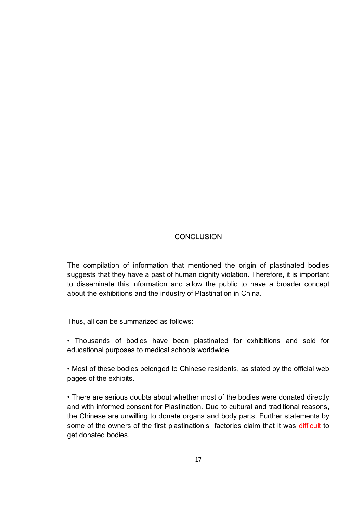# **CONCLUSION**

The compilation of information that mentioned the origin of plastinated bodies suggests that they have a past of human dignity violation. Therefore, it is important to disseminate this information and allow the public to have a broader concept about the exhibitions and the industry of Plastination in China.

Thus, all can be summarized as follows:

• Thousands of bodies have been plastinated for exhibitions and sold for educational purposes to medical schools worldwide.

• Most of these bodies belonged to Chinese residents, as stated by the official web pages of the exhibits.

• There are serious doubts about whether most of the bodies were donated directly and with informed consent for Plastination. Due to cultural and traditional reasons, the Chinese are unwilling to donate organs and body parts. Further statements by some of the owners of the first plastination's factories claim that it was difficult to get donated bodies.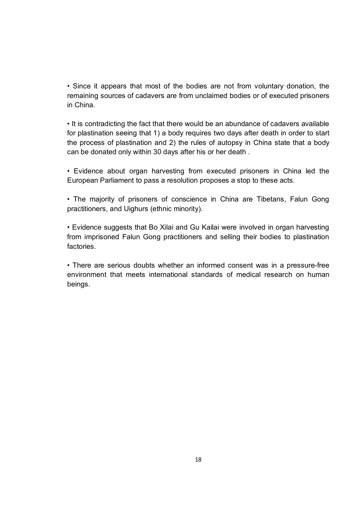• Since it appears that most of the bodies are not from voluntary donation, the remaining sources of cadavers are from unclaimed bodies or of executed prisoners in China.

• It is contradicting the fact that there would be an abundance of cadavers available for plastination seeing that 1) a body requires two days after death in order to start the process of plastination and 2) the rules of autopsy in China state that a body can be donated only within 30 days after his or her death .

• Evidence about organ harvesting from executed prisoners in China led the European Parliament to pass a resolution proposes a stop to these acts.

• The majority of prisoners of conscience in China are Tibetans, Falun Gong practitioners, and Uighurs (ethnic minority).

• Evidence suggests that Bo Xilai and Gu Kailai were involved in organ harvesting from imprisoned Falun Gong practitioners and selling their bodies to plastination factories.

• There are serious doubts whether an informed consent was in a pressure-free environment that meets international standards of medical research on human beings.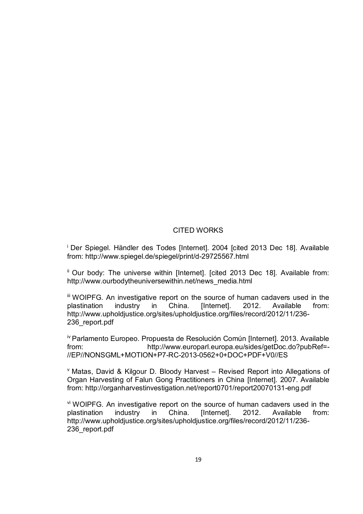# CITED WORKS

<sup>i</sup> Der Spiegel. Händler des Todes [Internet]. 2004 [cited 2013 Dec 18]. Available from: http://www.spiegel.de/spiegel/print/d-29725567.html

ii Our body: The universe within [Internet]. [cited 2013 Dec 18]. Available from: http://www.ourbodytheuniversewithin.net/news\_media.html

iii WOIPFG. An investigative report on the source of human cadavers used in the plastination industry in China. [Internet]. 2012. Available from: http://www.upholdjustice.org/sites/upholdjustice.org/files/record/2012/11/236- 236\_report.pdf

iv Parlamento Europeo. Propuesta de Resolución Común [Internet]. 2013. Available from: http://www.europarl.europa.eu/sides/getDoc.do?pubRef=- //EP//NONSGML+MOTION+P7-RC-2013-0562+0+DOC+PDF+V0//ES

 $V$  Matas, David & Kilgour D. Bloody Harvest – Revised Report into Allegations of Organ Harvesting of Falun Gong Practitioners in China [Internet]. 2007. Available from: http://organharvestinvestigation.net/report0701/report20070131-eng.pdf

vi WOIPFG. An investigative report on the source of human cadavers used in the plastination industry in China. [Internet]. 2012. Available from: http://www.upholdjustice.org/sites/upholdjustice.org/files/record/2012/11/236- 236\_report.pdf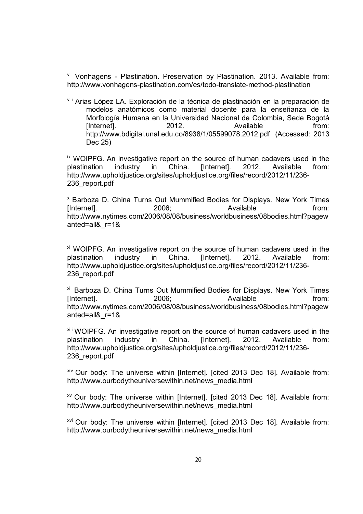vii Vonhagens - Plastination. Preservation by Plastination. 2013. Available from: http://www.vonhagens-plastination.com/es/todo-translate-method-plastination

viii Arias López LA. Exploración de la técnica de plastinación en la preparación de modelos anatómicos como material docente para la enseñanza de la Morfología Humana en la Universidad Nacional de Colombia, Sede Bogotá [Internet]. 2012. Available from: http://www.bdigital.unal.edu.co/8938/1/05599078.2012.pdf (Accessed: 2013 Dec 25)

ix WOIPFG. An investigative report on the source of human cadavers used in the plastination industry in China. [Internet]. 2012. Available from: http://www.upholdjustice.org/sites/upholdjustice.org/files/record/2012/11/236- 236\_report.pdf

<sup>x</sup> Barboza D. China Turns Out Mummified Bodies for Displays. New York Times [Internet]. 2006; Available from: http://www.nytimes.com/2006/08/08/business/worldbusiness/08bodies.html?pagew anted=all&\_r=1&

xi WOIPFG. An investigative report on the source of human cadavers used in the plastination industry in China. [Internet]. 2012. Available from: http://www.upholdjustice.org/sites/upholdjustice.org/files/record/2012/11/236- 236\_report.pdf

xii Barboza D. China Turns Out Mummified Bodies for Displays. New York Times [Internet]. 2006; Available from: http://www.nytimes.com/2006/08/08/business/worldbusiness/08bodies.html?pagew anted=all&\_r=1&

xiii WOIPFG. An investigative report on the source of human cadavers used in the plastination industry in China. [Internet]. 2012. Available from: http://www.upholdjustice.org/sites/upholdjustice.org/files/record/2012/11/236- 236\_report.pdf

 $x$ <sup>iv</sup> Our body: The universe within [Internet]. [cited 2013 Dec 18]. Available from: http://www.ourbodytheuniversewithin.net/news\_media.html

 $xv$  Our body: The universe within [Internet]. [cited 2013 Dec 18]. Available from: http://www.ourbodytheuniversewithin.net/news\_media.html

xvi Our body: The universe within [Internet]. [cited 2013 Dec 18]. Available from: http://www.ourbodytheuniversewithin.net/news\_media.html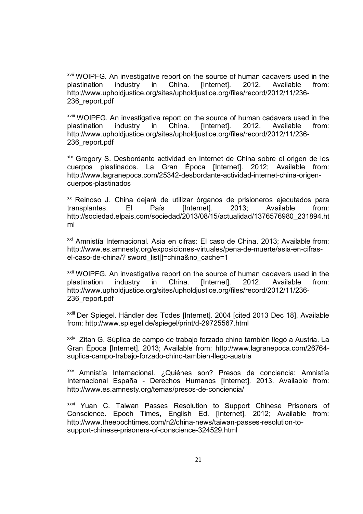xvii WOIPFG. An investigative report on the source of human cadavers used in the plastination industry in China. [Internet]. 2012. Available from: http://www.upholdjustice.org/sites/upholdjustice.org/files/record/2012/11/236- 236\_report.pdf

xviii WOIPFG. An investigative report on the source of human cadavers used in the plastination industry in China. [Internet]. 2012. Available from: http://www.upholdjustice.org/sites/upholdjustice.org/files/record/2012/11/236- 236\_report.pdf

xix Gregory S. Desbordante actividad en Internet de China sobre el origen de los cuerpos plastinados. La Gran Época [Internet]. 2012; Available from: http://www.lagranepoca.com/25342-desbordante-actividad-internet-china-origencuerpos-plastinados

xx Reinoso J. China dejará de utilizar órganos de prisioneros ejecutados para transplantes. El País [Internet]. 2013; Available from: http://sociedad.elpais.com/sociedad/2013/08/15/actualidad/1376576980\_231894.ht ml

xxi Amnistía Internacional. Asia en cifras: El caso de China. 2013; Available from: http://www.es.amnesty.org/exposiciones-virtuales/pena-de-muerte/asia-en-cifrasel-caso-de-china/? sword list[]=china&no\_cache=1

xxii WOIPFG. An investigative report on the source of human cadavers used in the plastination industry in China. [Internet]. 2012. Available from: http://www.upholdjustice.org/sites/upholdjustice.org/files/record/2012/11/236- 236\_report.pdf

xxiii Der Spiegel. Händler des Todes [Internet]. 2004 [cited 2013 Dec 18]. Available from: http://www.spiegel.de/spiegel/print/d-29725567.html

<sup>xxiv</sup> Zitan G. Súplica de campo de trabajo forzado chino también llegó a Austria. La Gran Época [Internet]. 2013; Available from: http://www.lagranepoca.com/26764 suplica-campo-trabajo-forzado-chino-tambien-llego-austria

xxv Amnistía Internacional. ¿Quiénes son? Presos de conciencia: Amnistía Internacional España - Derechos Humanos [Internet]. 2013. Available from: http://www.es.amnesty.org/temas/presos-de-conciencia/

xxvi Yuan C. Taiwan Passes Resolution to Support Chinese Prisoners of Conscience. Epoch Times, English Ed. [Internet]. 2012; Available from: http://www.theepochtimes.com/n2/china-news/taiwan-passes-resolution-tosupport-chinese-prisoners-of-conscience-324529.html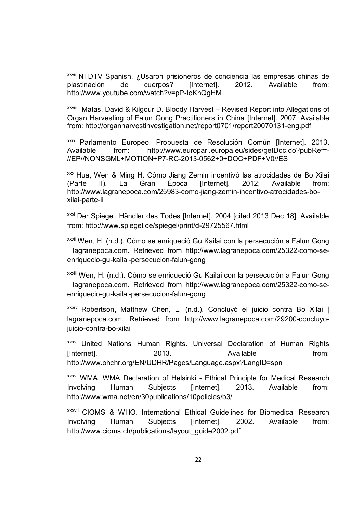xxvii NTDTV Spanish. ¿Usaron prisioneros de conciencia las empresas chinas de plastinación de cuerpos? [Internet]. 2012. Available from: http://www.youtube.com/watch?v=pP-IoKnQgHM

<sup>xxviii</sup> Matas, David & Kilgour D. Bloody Harvest – Revised Report into Allegations of Organ Harvesting of Falun Gong Practitioners in China [Internet]. 2007. Available from: http://organharvestinvestigation.net/report0701/report20070131-eng.pdf

xxix Parlamento Europeo. Propuesta de Resolución Común [Internet]. 2013. Available from: http://www.europarl.europa.eu/sides/getDoc.do?pubRef=- //EP//NONSGML+MOTION+P7-RC-2013-0562+0+DOC+PDF+V0//ES

xxx Hua, Wen & Ming H. Cómo Jiang Zemin incentivó las atrocidades de Bo Xilai (Parte II). La Gran Época [Internet]. 2012; Available from: http://www.lagranepoca.com/25983-como-jiang-zemin-incentivo-atrocidades-boxilai-parte-ii

xxxi Der Spiegel. Händler des Todes [Internet]. 2004 [cited 2013 Dec 18]. Available from: http://www.spiegel.de/spiegel/print/d-29725567.html

xxxii Wen, H. (n.d.). Cómo se enriqueció Gu Kailai con la persecución a Falun Gong | lagranepoca.com. Retrieved from http://www.lagranepoca.com/25322-como-seenriquecio-gu-kailai-persecucion-falun-gong

xxxiii Wen, H. (n.d.). Cómo se enriqueció Gu Kailai con la persecución a Falun Gong | lagranepoca.com. Retrieved from http://www.lagranepoca.com/25322-como-seenriquecio-gu-kailai-persecucion-falun-gong

xxxiv Robertson, Matthew Chen, L. (n.d.). Concluyó el juicio contra Bo Xilai | lagranepoca.com. Retrieved from http://www.lagranepoca.com/29200-concluyojuicio-contra-bo-xilai

xxxv United Nations Human Rights. Universal Declaration of Human Rights [Internet]. 2013. Available from: http://www.ohchr.org/EN/UDHR/Pages/Language.aspx?LangID=spn

xxxvi WMA. WMA Declaration of Helsinki - Ethical Principle for Medical Research Involving Human Subjects [Internet]. 2013. Available from: http://www.wma.net/en/30publications/10policies/b3/

xxxvii CIOMS & WHO. International Ethical Guidelines for Biomedical Research Involving Human Subjects [Internet]. 2002. Available from: http://www.cioms.ch/publications/layout\_guide2002.pdf